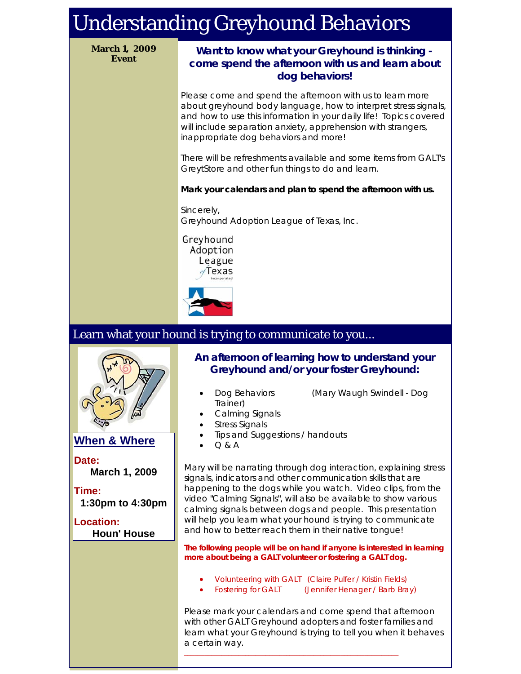# Understanding Greyhound Behaviors

**March 1, 2009**

## **Event Want to know what your Greyhound is thinking come spend the afternoon with us and learn about dog behaviors!**

Please come and spend the afternoon with us to learn more about greyhound body language, how to interpret stress signals, and how to use this information in your daily life! Topics covered will include separation anxiety, apprehension with strangers, inappropriate dog behaviors and more!

There will be refreshments available and some items from GALT's GreytStore and other fun things to do and learn.

#### **Mark your calendars and plan to spend the afternoon with us.**

Sincerely, Greyhound Adoption League of Texas, Inc.

Greyhound Adoption League Texas



# Learn what your hound is trying to communicate to you...



## **When & Where**

**Date: March 1, 2009**

**Time: 1:30pm to 4:30pm**

#### **Location: Houn' House**

**An afternoon of learning how to understand your Greyhound and/or your foster Greyhound:**

- Dog Behaviors (Mary Waugh Swindell Dog
- Trainer)
- Calming Signals
- **Stress Signals**
- Tips and Suggestions / handouts
- $O & A$

Mary will be narrating through dog interaction, explaining stress signals, indicators and other communication skills that are happening to the dogs while you watch. Video clips, from the video "Calming Signals", will also be available to show various calming signals between dogs and people. This presentation will help you learn what your hound is trying to communicate and how to better reach them in their native tongue!

**The following people will be on hand if anyone is interested in learning more about being a GALT volunteer or fostering a GALT dog.**

• Volunteering with GALT (Claire Pulfer / Kristin Fields)

\_\_\_\_\_\_\_\_\_\_\_\_\_\_\_\_\_\_\_\_\_\_\_\_\_\_\_\_\_\_\_\_\_\_\_\_\_\_\_\_\_\_\_\_\_\_\_\_\_\_\_\_\_\_\_\_\_\_\_\_\_\_\_

• Fostering for GALT (Jennifer Henager / Barb Bray)

Please mark your calendars and come spend that afternoon with other GALT Greyhound adopters and foster families and learn what your Greyhound is trying to tell you when it behaves a certain way.